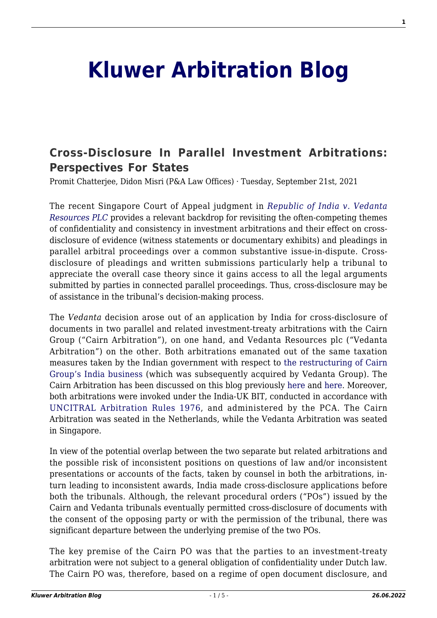# **[Kluwer Arbitration Blog](http://arbitrationblog.kluwerarbitration.com/)**

## **[Cross-Disclosure In Parallel Investment Arbitrations:](http://arbitrationblog.kluwerarbitration.com/2021/09/21/cross-disclosure-in-parallel-investment-arbitrations-perspectives-for-states/) [Perspectives For States](http://arbitrationblog.kluwerarbitration.com/2021/09/21/cross-disclosure-in-parallel-investment-arbitrations-perspectives-for-states/)**

Promit Chatterjee, Didon Misri (P&A Law Offices) · Tuesday, September 21st, 2021

The recent Singapore Court of Appeal judgment in *[Republic of India v. Vedanta](https://www.supremecourt.gov.sg/docs/default-source/module-document/judgement/-2021-sgca-50-pdf.pdf) [Resources PLC](https://www.supremecourt.gov.sg/docs/default-source/module-document/judgement/-2021-sgca-50-pdf.pdf)* provides a relevant backdrop for revisiting the often-competing themes of confidentiality and consistency in investment arbitrations and their effect on crossdisclosure of evidence (witness statements or documentary exhibits) and pleadings in parallel arbitral proceedings over a common substantive issue-in-dispute. Crossdisclosure of pleadings and written submissions particularly help a tribunal to appreciate the overall case theory since it gains access to all the legal arguments submitted by parties in connected parallel proceedings. Thus, cross-disclosure may be of assistance in the tribunal's decision-making process.

The *Vedanta* decision arose out of an application by India for cross-disclosure of documents in two parallel and related investment-treaty arbitrations with the Cairn Group ("Cairn Arbitration"), on one hand, and Vedanta Resources plc ("Vedanta Arbitration") on the other. Both arbitrations emanated out of the same taxation measures taken by the Indian government with respect to [the restructuring of Cairn](http://arbitrationblog.kluwerarbitration.com/2021/07/02/the-cairn-energy-v-india-saga-a-case-of-retrospective-tax-and-sovereign-resistance-against-investor-state-awards/) [Group's India business](http://arbitrationblog.kluwerarbitration.com/2021/07/02/the-cairn-energy-v-india-saga-a-case-of-retrospective-tax-and-sovereign-resistance-against-investor-state-awards/) (which was subsequently acquired by Vedanta Group). The Cairn Arbitration has been discussed on this blog previously [here](http://arbitrationblog.kluwerarbitration.com/2021/07/02/the-cairn-energy-v-india-saga-a-case-of-retrospective-tax-and-sovereign-resistance-against-investor-state-awards/) and [here](http://arbitrationblog.kluwerarbitration.com/2021/08/08/cairn-moves-to-seize-air-india-assets-to-recover-hefty-award-against-india-worthwhile-choice-or-a-futile-exercise/). Moreover, both arbitrations were invoked under the India-UK BIT, conducted in accordance with [UNCITRAL Arbitration Rules 1976,](https://docs.pca-cpa.org/2016/01/UNCITRAL-1976-English.pdf) and administered by the PCA. The Cairn Arbitration was seated in the Netherlands, while the Vedanta Arbitration was seated in Singapore.

In view of the potential overlap between the two separate but related arbitrations and the possible risk of inconsistent positions on questions of law and/or inconsistent presentations or accounts of the facts, taken by counsel in both the arbitrations, inturn leading to inconsistent awards, India made cross-disclosure applications before both the tribunals. Although, the relevant procedural orders ("POs") issued by the Cairn and Vedanta tribunals eventually permitted cross-disclosure of documents with the consent of the opposing party or with the permission of the tribunal, there was significant departure between the underlying premise of the two POs.

The key premise of the Cairn PO was that the parties to an investment-treaty arbitration were not subject to a general obligation of confidentiality under Dutch law. The Cairn PO was, therefore, based on a regime of open document disclosure, and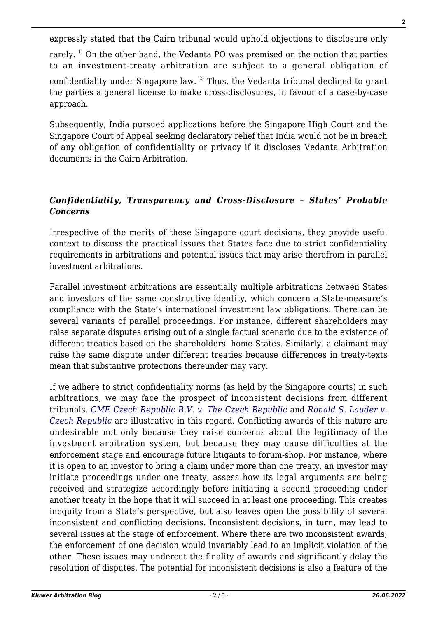expressly stated that the Cairn tribunal would uphold objections to disclosure only rarely.<sup>1)</sup> On the other hand, the Vedanta PO was premised on the notion that parties to an investment-treaty arbitration are subject to a general obligation of confidentiality under Singapore law.  $^{2}$  Thus, the Vedanta tribunal declined to grant the parties a general license to make cross-disclosures, in favour of a case-by-case approach.

Subsequently, India pursued applications before the Singapore High Court and the Singapore Court of Appeal seeking declaratory relief that India would not be in breach of any obligation of confidentiality or privacy if it discloses Vedanta Arbitration documents in the Cairn Arbitration.

### *Confidentiality, Transparency and Cross-Disclosure – States' Probable Concerns*

Irrespective of the merits of these Singapore court decisions, they provide useful context to discuss the practical issues that States face due to strict confidentiality requirements in arbitrations and potential issues that may arise therefrom in parallel investment arbitrations.

Parallel investment arbitrations are essentially multiple arbitrations between States and investors of the same constructive identity, which concern a State-measure's compliance with the State's international investment law obligations. There can be several variants of parallel proceedings. For instance, different shareholders may raise separate disputes arising out of a single factual scenario due to the existence of different treaties based on the shareholders' home States. Similarly, a claimant may raise the same dispute under different treaties because differences in treaty-texts mean that substantive protections thereunder may vary.

If we adhere to strict confidentiality norms (as held by the Singapore courts) in such arbitrations, we may face the prospect of inconsistent decisions from different tribunals. *[CME Czech Republic B.V. v. The Czech Republic](https://www.italaw.com/sites/default/files/case-documents/ita0180.pdf)* and *[Ronald S. Lauder v.](https://www.italaw.com/sites/default/files/case-documents/ita0451.pdf) [Czech Republic](https://www.italaw.com/sites/default/files/case-documents/ita0451.pdf)* are illustrative in this regard. Conflicting awards of this nature are undesirable not only because they raise concerns about the legitimacy of the investment arbitration system, but because they may cause difficulties at the enforcement stage and encourage future litigants to forum-shop. For instance, where it is open to an investor to bring a claim under more than one treaty, an investor may initiate proceedings under one treaty, assess how its legal arguments are being received and strategize accordingly before initiating a second proceeding under another treaty in the hope that it will succeed in at least one proceeding. This creates inequity from a State's perspective, but also leaves open the possibility of several inconsistent and conflicting decisions. Inconsistent decisions, in turn, may lead to several issues at the stage of enforcement. Where there are two inconsistent awards, the enforcement of one decision would invariably lead to an implicit violation of the other. These issues may undercut the finality of awards and significantly delay the resolution of disputes. The potential for inconsistent decisions is also a feature of the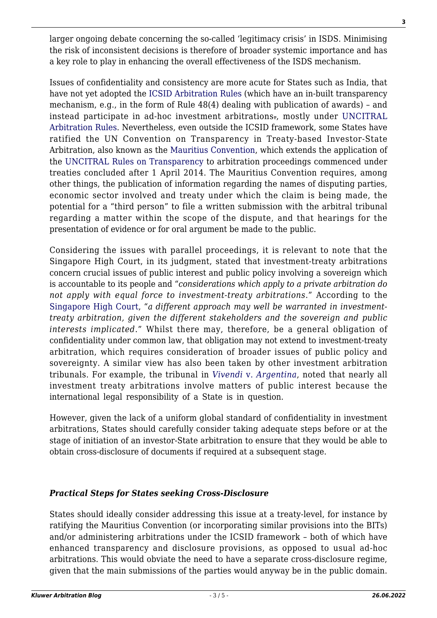larger ongoing debate concerning the so-called 'legitimacy crisis' in ISDS. Minimising the risk of inconsistent decisions is therefore of broader systemic importance and has a key role to play in enhancing the overall effectiveness of the ISDS mechanism.

Issues of confidentiality and consistency are more acute for States such as India, that have not yet adopted the [ICSID Arbitration Rules](https://icsid.worldbank.org/resources/rules-and-regulations/convention/arbitration-rules) (which have an in-built transparency mechanism, e.g., in the form of Rule 48(4) dealing with publication of awards) – and instead participate in ad-hoc investment arbitrations-, mostly under [UNCITRAL](https://pca-cpa.org/en/services/arbitration-services/uncitral-arbitration-rules/) [Arbitration Rules](https://pca-cpa.org/en/services/arbitration-services/uncitral-arbitration-rules/). Nevertheless, even outside the ICSID framework, some States have ratified the UN Convention on Transparency in Treaty-based Investor-State Arbitration, also known as the [Mauritius Convention,](https://uncitral.un.org/en/texts/arbitration/conventions/transparency) which extends the application of the [UNCITRAL Rules on Transparency](https://uncitral.un.org/sites/uncitral.un.org/files/media-documents/uncitral/en/rules-on-transparency-e.pdf) to arbitration proceedings commenced under treaties concluded after 1 April 2014. The Mauritius Convention requires, among other things, the publication of information regarding the names of disputing parties, economic sector involved and treaty under which the claim is being made, the potential for a "third person" to file a written submission with the arbitral tribunal regarding a matter within the scope of the dispute, and that hearings for the presentation of evidence or for oral argument be made to the public.

Considering the issues with parallel proceedings, it is relevant to note that the Singapore High Court, in its judgment, stated that investment-treaty arbitrations concern crucial issues of public interest and public policy involving a sovereign which is accountable to its people and "*considerations which apply to a private arbitration do not apply with equal force to investment-treaty arbitrations*." According to the [Singapore High Court,](https://www.supremecourt.gov.sg/docs/default-source/module-document/judgement/os980-of-2018-republic-of-india-v-vedanta-resources-plc-(upload)-v2-pdf.pdf) "*a different approach may well be warranted in investmenttreaty arbitration, given the different stakeholders and the sovereign and public interests implicated*." Whilst there may, therefore, be a general obligation of confidentiality under common law, that obligation may not extend to investment-treaty arbitration, which requires consideration of broader issues of public policy and sovereignty. A similar view has also been taken by other investment arbitration tribunals. For example, the tribunal in *[Vivendi](https://www.italaw.com/sites/default/files/case-documents/ita0815.pdf)* [v.](https://www.italaw.com/sites/default/files/case-documents/ita0815.pdf) *[Argentina](https://www.italaw.com/sites/default/files/case-documents/ita0815.pdf)*, noted that nearly all investment treaty arbitrations involve matters of public interest because the international legal responsibility of a State is in question.

However, given the lack of a uniform global standard of confidentiality in investment arbitrations, States should carefully consider taking adequate steps before or at the stage of initiation of an investor-State arbitration to ensure that they would be able to obtain cross-disclosure of documents if required at a subsequent stage.

#### *Practical Steps for States seeking Cross-Disclosure*

States should ideally consider addressing this issue at a treaty-level, for instance by ratifying the Mauritius Convention (or incorporating similar provisions into the BITs) and/or administering arbitrations under the ICSID framework – both of which have enhanced transparency and disclosure provisions, as opposed to usual ad-hoc arbitrations. This would obviate the need to have a separate cross-disclosure regime, given that the main submissions of the parties would anyway be in the public domain.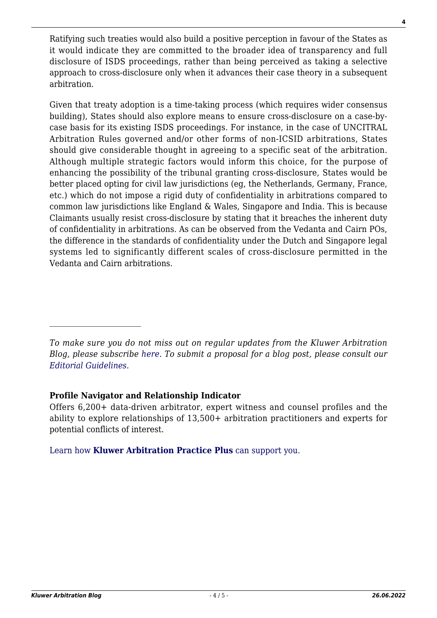Ratifying such treaties would also build a positive perception in favour of the States as it would indicate they are committed to the broader idea of transparency and full disclosure of ISDS proceedings, rather than being perceived as taking a selective approach to cross-disclosure only when it advances their case theory in a subsequent arbitration.

Given that treaty adoption is a time-taking process (which requires wider consensus building), States should also explore means to ensure cross-disclosure on a case-bycase basis for its existing ISDS proceedings. For instance, in the case of UNCITRAL Arbitration Rules governed and/or other forms of non-ICSID arbitrations, States should give considerable thought in agreeing to a specific seat of the arbitration. Although multiple strategic factors would inform this choice, for the purpose of enhancing the possibility of the tribunal granting cross-disclosure, States would be better placed opting for civil law jurisdictions (eg, the Netherlands, Germany, France, etc.) which do not impose a rigid duty of confidentiality in arbitrations compared to common law jurisdictions like England & Wales, Singapore and India. This is because Claimants usually resist cross-disclosure by stating that it breaches the inherent duty of confidentiality in arbitrations. As can be observed from the Vedanta and Cairn POs, the difference in the standards of confidentiality under the Dutch and Singapore legal systems led to significantly different scales of cross-disclosure permitted in the Vedanta and Cairn arbitrations.

#### **Profile Navigator and Relationship Indicator**

 $\mathcal{L}_\text{max}$ 

Offers 6,200+ data-driven arbitrator, expert witness and counsel profiles and the ability to explore relationships of 13,500+ arbitration practitioners and experts for potential conflicts of interest.

[Learn how](https://www.wolterskluwer.com/en/solutions/kluwerarbitration/practiceplus?utm_source=arbitrationblog&utm_medium=articleCTA&utm_campaign=article-banner) **[Kluwer Arbitration Practice Plus](https://www.wolterskluwer.com/en/solutions/kluwerarbitration/practiceplus?utm_source=arbitrationblog&utm_medium=articleCTA&utm_campaign=article-banner)** [can support you.](https://www.wolterskluwer.com/en/solutions/kluwerarbitration/practiceplus?utm_source=arbitrationblog&utm_medium=articleCTA&utm_campaign=article-banner)

*To make sure you do not miss out on regular updates from the Kluwer Arbitration Blog, please subscribe [here](http://arbitrationblog.kluwerarbitration.com/newsletter/). To submit a proposal for a blog post, please consult our [Editorial Guidelines.](http://arbitrationblog.kluwerarbitration.com/editorial-guidelines/)*